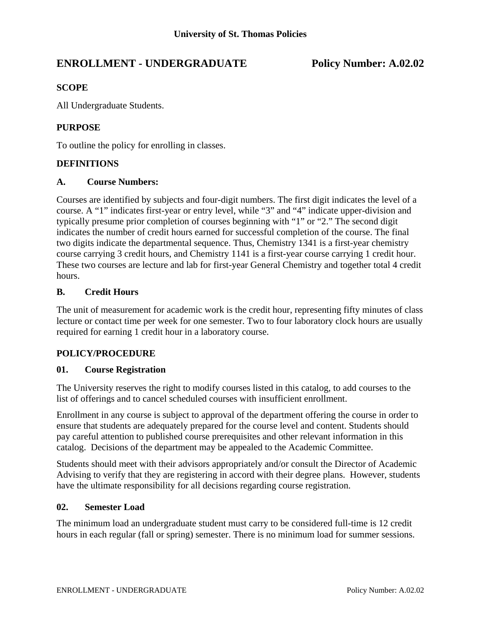# **ENROLLMENT - UNDERGRADUATE Policy Number: A.02.02**

## **SCOPE**

All Undergraduate Students.

## **PURPOSE**

To outline the policy for enrolling in classes.

### **DEFINITIONS**

#### **A. Course Numbers:**

Courses are identified by subjects and four-digit numbers. The first digit indicates the level of a course. A "1" indicates first-year or entry level, while "3" and "4" indicate upper-division and typically presume prior completion of courses beginning with "1" or "2." The second digit indicates the number of credit hours earned for successful completion of the course. The final two digits indicate the departmental sequence. Thus, Chemistry 1341 is a first-year chemistry course carrying 3 credit hours, and Chemistry 1141 is a first-year course carrying 1 credit hour. These two courses are lecture and lab for first-year General Chemistry and together total 4 credit hours.

### **B. Credit Hours**

The unit of measurement for academic work is the credit hour, representing fifty minutes of class lecture or contact time per week for one semester. Two to four laboratory clock hours are usually required for earning 1 credit hour in a laboratory course.

### **POLICY/PROCEDURE**

### **01. Course Registration**

The University reserves the right to modify courses listed in this catalog, to add courses to the list of offerings and to cancel scheduled courses with insufficient enrollment.

Enrollment in any course is subject to approval of the department offering the course in order to ensure that students are adequately prepared for the course level and content. Students should pay careful attention to published course prerequisites and other relevant information in this catalog. Decisions of the department may be appealed to the Academic Committee.

Students should meet with their advisors appropriately and/or consult the Director of Academic Advising to verify that they are registering in accord with their degree plans. However, students have the ultimate responsibility for all decisions regarding course registration.

#### **02. Semester Load**

The minimum load an undergraduate student must carry to be considered full-time is 12 credit hours in each regular (fall or spring) semester. There is no minimum load for summer sessions.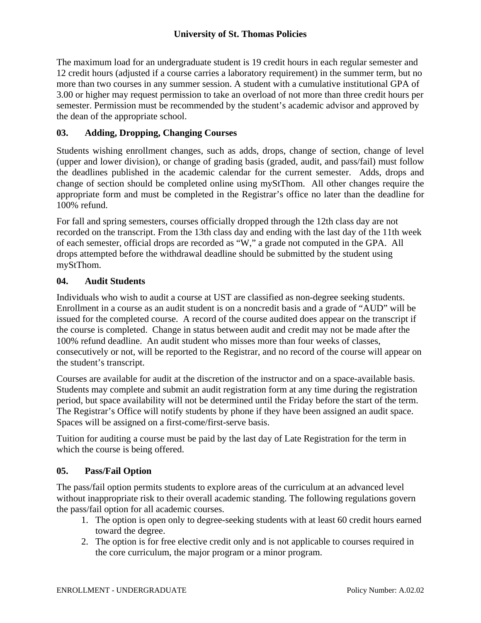The maximum load for an undergraduate student is 19 credit hours in each regular semester and 12 credit hours (adjusted if a course carries a laboratory requirement) in the summer term, but no more than two courses in any summer session. A student with a cumulative institutional GPA of 3.00 or higher may request permission to take an overload of not more than three credit hours per semester. Permission must be recommended by the student's academic advisor and approved by the dean of the appropriate school.

## **03. Adding, Dropping, Changing Courses**

Students wishing enrollment changes, such as adds, drops, change of section, change of level (upper and lower division), or change of grading basis (graded, audit, and pass/fail) must follow the deadlines published in the academic calendar for the current semester. Adds, drops and change of section should be completed online using myStThom. All other changes require the appropriate form and must be completed in the Registrar's office no later than the deadline for 100% refund.

For fall and spring semesters, courses officially dropped through the 12th class day are not recorded on the transcript. From the 13th class day and ending with the last day of the 11th week of each semester, official drops are recorded as "W," a grade not computed in the GPA. All drops attempted before the withdrawal deadline should be submitted by the student using myStThom.

## **04. Audit Students**

Individuals who wish to audit a course at UST are classified as non-degree seeking students. Enrollment in a course as an audit student is on a noncredit basis and a grade of "AUD" will be issued for the completed course. A record of the course audited does appear on the transcript if the course is completed. Change in status between audit and credit may not be made after the 100% refund deadline. An audit student who misses more than four weeks of classes, consecutively or not, will be reported to the Registrar, and no record of the course will appear on the student's transcript.

Courses are available for audit at the discretion of the instructor and on a space-available basis. Students may complete and submit an audit registration form at any time during the registration period, but space availability will not be determined until the Friday before the start of the term. The Registrar's Office will notify students by phone if they have been assigned an audit space. Spaces will be assigned on a first-come/first-serve basis.

Tuition for auditing a course must be paid by the last day of Late Registration for the term in which the course is being offered.

## **05. Pass/Fail Option**

The pass/fail option permits students to explore areas of the curriculum at an advanced level without inappropriate risk to their overall academic standing. The following regulations govern the pass/fail option for all academic courses.

- 1. The option is open only to degree-seeking students with at least 60 credit hours earned toward the degree.
- 2. The option is for free elective credit only and is not applicable to courses required in the core curriculum, the major program or a minor program.